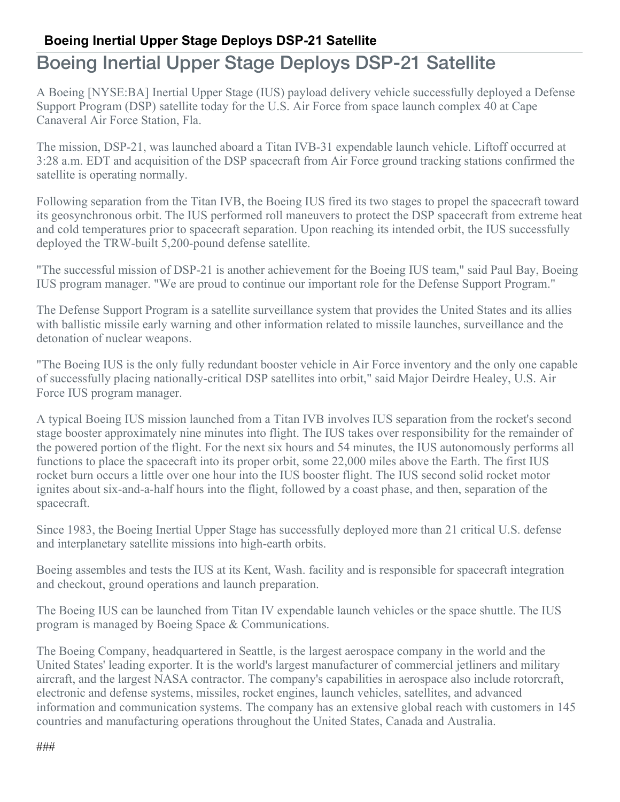## **Boeing Inertial Upper Stage Deploys DSP-21 Satellite**

## Boeing Inertial Upper Stage Deploys DSP-21 Satellite

A Boeing [NYSE:BA] Inertial Upper Stage (IUS) payload delivery vehicle successfully deployed a Defense Support Program (DSP) satellite today for the U.S. Air Force from space launch complex 40 at Cape Canaveral Air Force Station, Fla.

The mission, DSP-21, was launched aboard a Titan IVB-31 expendable launch vehicle. Liftoff occurred at 3:28 a.m. EDT and acquisition of the DSP spacecraft from Air Force ground tracking stations confirmed the satellite is operating normally.

Following separation from the Titan IVB, the Boeing IUS fired its two stages to propel the spacecraft toward its geosynchronous orbit. The IUS performed roll maneuvers to protect the DSP spacecraft from extreme heat and cold temperatures prior to spacecraft separation. Upon reaching its intended orbit, the IUS successfully deployed the TRW-built 5,200-pound defense satellite.

"The successful mission of DSP-21 is another achievement for the Boeing IUS team," said Paul Bay, Boeing IUS program manager. "We are proud to continue our important role for the Defense Support Program."

The Defense Support Program is a satellite surveillance system that provides the United States and its allies with ballistic missile early warning and other information related to missile launches, surveillance and the detonation of nuclear weapons.

"The Boeing IUS is the only fully redundant booster vehicle in Air Force inventory and the only one capable of successfully placing nationally-critical DSP satellites into orbit," said Major Deirdre Healey, U.S. Air Force IUS program manager.

A typical Boeing IUS mission launched from a Titan IVB involves IUS separation from the rocket's second stage booster approximately nine minutes into flight. The IUS takes over responsibility for the remainder of the powered portion of the flight. For the next six hours and 54 minutes, the IUS autonomously performs all functions to place the spacecraft into its proper orbit, some 22,000 miles above the Earth. The first IUS rocket burn occurs a little over one hour into the IUS booster flight. The IUS second solid rocket motor ignites about six-and-a-half hours into the flight, followed by a coast phase, and then, separation of the spacecraft.

Since 1983, the Boeing Inertial Upper Stage has successfully deployed more than 21 critical U.S. defense and interplanetary satellite missions into high-earth orbits.

Boeing assembles and tests the IUS at its Kent, Wash. facility and is responsible for spacecraft integration and checkout, ground operations and launch preparation.

The Boeing IUS can be launched from Titan IV expendable launch vehicles or the space shuttle. The IUS program is managed by Boeing Space & Communications.

The Boeing Company, headquartered in Seattle, is the largest aerospace company in the world and the United States' leading exporter. It is the world's largest manufacturer of commercial jetliners and military aircraft, and the largest NASA contractor. The company's capabilities in aerospace also include rotorcraft, electronic and defense systems, missiles, rocket engines, launch vehicles, satellites, and advanced information and communication systems. The company has an extensive global reach with customers in 145 countries and manufacturing operations throughout the United States, Canada and Australia.